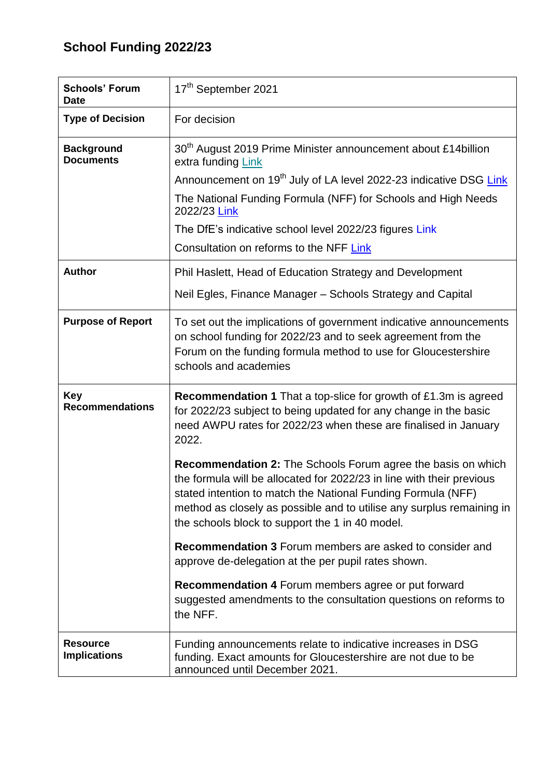# **School Funding 2022/23**

| <b>Schools' Forum</b><br><b>Date</b>   | 17 <sup>th</sup> September 2021                                                                                                                                                                                                                                                                                                          |
|----------------------------------------|------------------------------------------------------------------------------------------------------------------------------------------------------------------------------------------------------------------------------------------------------------------------------------------------------------------------------------------|
| <b>Type of Decision</b>                | For decision                                                                                                                                                                                                                                                                                                                             |
| <b>Background</b><br><b>Documents</b>  | 30 <sup>th</sup> August 2019 Prime Minister announcement about £14 billion<br>extra funding Link                                                                                                                                                                                                                                         |
|                                        | Announcement on 19 <sup>th</sup> July of LA level 2022-23 indicative DSG Link                                                                                                                                                                                                                                                            |
|                                        | The National Funding Formula (NFF) for Schools and High Needs<br>2022/23 Link                                                                                                                                                                                                                                                            |
|                                        | The DfE's indicative school level 2022/23 figures Link                                                                                                                                                                                                                                                                                   |
|                                        | Consultation on reforms to the NFF Link                                                                                                                                                                                                                                                                                                  |
| <b>Author</b>                          | Phil Haslett, Head of Education Strategy and Development                                                                                                                                                                                                                                                                                 |
|                                        | Neil Egles, Finance Manager - Schools Strategy and Capital                                                                                                                                                                                                                                                                               |
| <b>Purpose of Report</b>               | To set out the implications of government indicative announcements<br>on school funding for 2022/23 and to seek agreement from the<br>Forum on the funding formula method to use for Gloucestershire<br>schools and academies                                                                                                            |
| <b>Key</b><br><b>Recommendations</b>   | <b>Recommendation 1</b> That a top-slice for growth of £1.3m is agreed<br>for 2022/23 subject to being updated for any change in the basic<br>need AWPU rates for 2022/23 when these are finalised in January<br>2022.                                                                                                                   |
|                                        | <b>Recommendation 2:</b> The Schools Forum agree the basis on which<br>the formula will be allocated for 2022/23 in line with their previous<br>stated intention to match the National Funding Formula (NFF)<br>method as closely as possible and to utilise any surplus remaining in<br>the schools block to support the 1 in 40 model. |
|                                        | <b>Recommendation 3 Forum members are asked to consider and</b><br>approve de-delegation at the per pupil rates shown.                                                                                                                                                                                                                   |
|                                        | Recommendation 4 Forum members agree or put forward<br>suggested amendments to the consultation questions on reforms to<br>the NFF.                                                                                                                                                                                                      |
| <b>Resource</b><br><b>Implications</b> | Funding announcements relate to indicative increases in DSG<br>funding. Exact amounts for Gloucestershire are not due to be<br>announced until December 2021.                                                                                                                                                                            |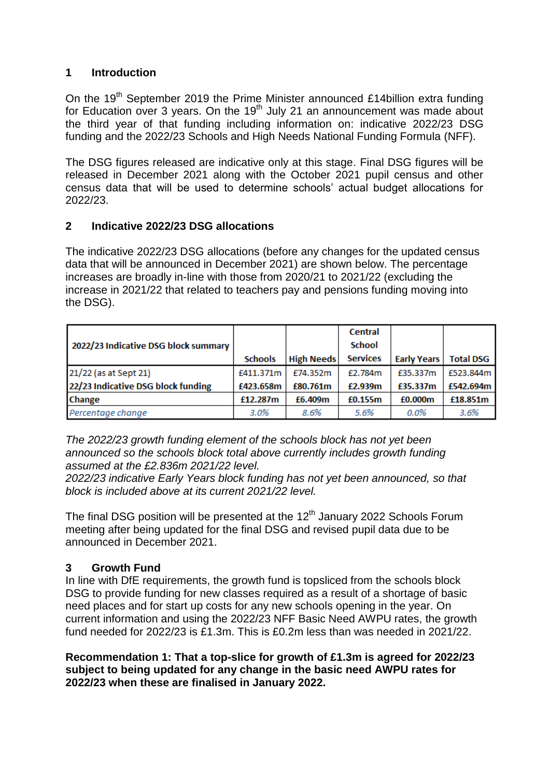# **1 Introduction**

On the 19<sup>th</sup> September 2019 the Prime Minister announced £14billion extra funding for Education over 3 years. On the 19<sup>th</sup> July 21 an announcement was made about the third year of that funding including information on: indicative 2022/23 DSG funding and the 2022/23 Schools and High Needs National Funding Formula (NFF).

The DSG figures released are indicative only at this stage. Final DSG figures will be released in December 2021 along with the October 2021 pupil census and other census data that will be used to determine schools' actual budget allocations for 2022/23.

# **2 Indicative 2022/23 DSG allocations**

The indicative 2022/23 DSG allocations (before any changes for the updated census data that will be announced in December 2021) are shown below. The percentage increases are broadly in-line with those from 2020/21 to 2021/22 (excluding the increase in 2021/22 that related to teachers pay and pensions funding moving into the DSG).

|                                      |                |                   | <b>Central</b>  |                    |                  |
|--------------------------------------|----------------|-------------------|-----------------|--------------------|------------------|
| 2022/23 Indicative DSG block summary |                |                   | <b>School</b>   |                    |                  |
|                                      | <b>Schools</b> | <b>High Needs</b> | <b>Services</b> | <b>Early Years</b> | <b>Total DSG</b> |
| 21/22 (as at Sept 21)                | £411.371m      | £74.352m          | £2.784m         | £35.337m           | £523.844m        |
| 22/23 Indicative DSG block funding   | £423.658m      | £80.761m          | £2.939m         | £35.337m           | £542.694m        |
| Change                               | £12.287m       | £6.409m           | £0.155m         | £0.000m            | £18.851m         |
| Percentage change                    | 3.0%           | 8.6%              | 5.6%            | $0.0\%$            | 3.6%             |

*The 2022/23 growth funding element of the schools block has not yet been announced so the schools block total above currently includes growth funding assumed at the £2.836m 2021/22 level.*

*2022/23 indicative Early Years block funding has not yet been announced, so that block is included above at its current 2021/22 level.*

The final DSG position will be presented at the  $12<sup>th</sup>$  January 2022 Schools Forum meeting after being updated for the final DSG and revised pupil data due to be announced in December 2021.

# **3 Growth Fund**

In line with DfE requirements, the growth fund is topsliced from the schools block DSG to provide funding for new classes required as a result of a shortage of basic need places and for start up costs for any new schools opening in the year. On current information and using the 2022/23 NFF Basic Need AWPU rates, the growth fund needed for 2022/23 is £1.3m. This is £0.2m less than was needed in 2021/22.

**Recommendation 1: That a top-slice for growth of £1.3m is agreed for 2022/23 subject to being updated for any change in the basic need AWPU rates for 2022/23 when these are finalised in January 2022.**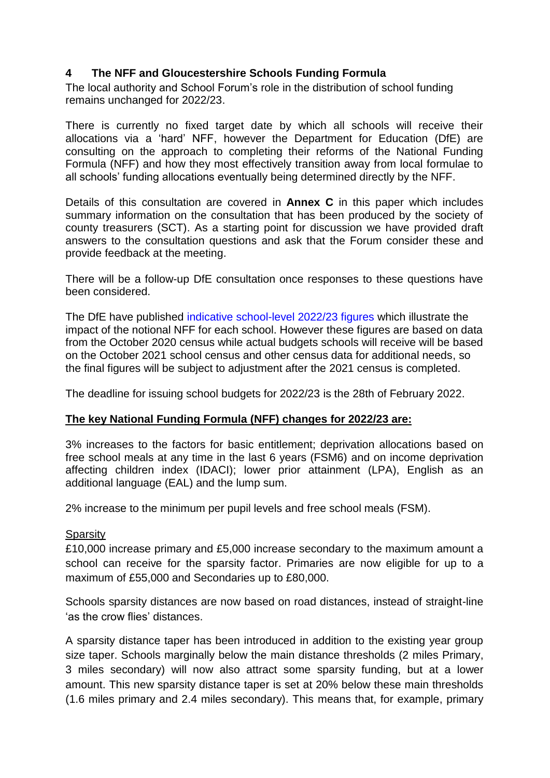# **4 The NFF and Gloucestershire Schools Funding Formula**

The local authority and School Forum's role in the distribution of school funding remains unchanged for 2022/23.

There is currently no fixed target date by which all schools will receive their allocations via a 'hard' NFF, however the Department for Education (DfE) are [consulting](https://consult.education.gov.uk/funding-policy-unit/completing-our-reforms-to-the-nff/) on the approach to completing their reforms of the National Funding Formula (NFF) and how they most effectively transition away from local formulae to all schools' funding allocations eventually being determined directly by the NFF.

Details of this consultation are covered in **Annex C** in this paper which includes summary information on the consultation that has been produced by the society of county treasurers (SCT). As a starting point for discussion we have provided draft answers to the consultation questions and ask that the Forum consider these and provide feedback at the meeting.

There will be a follow-up DfE consultation once responses to these questions have been considered.

The DfE have published [indicative school-level 2022/23 figures](https://www.gov.uk/government/publications/national-funding-formula-tables-for-schools-and-high-needs-2022-to-2023) which illustrate the impact of the notional NFF for each school. However these figures are based on data from the October 2020 census while actual budgets schools will receive will be based on the October 2021 school census and other census data for additional needs, so the final figures will be subject to adjustment after the 2021 census is completed.

The deadline for issuing school budgets for 2022/23 is the 28th of February 2022.

# **The key National Funding Formula (NFF) changes for 2022/23 are:**

3% increases to the factors for basic entitlement; deprivation allocations based on free school meals at any time in the last 6 years (FSM6) and on income deprivation affecting children index (IDACI); lower prior attainment (LPA), English as an additional language (EAL) and the lump sum.

2% increase to the minimum per pupil levels and free school meals (FSM).

# **Sparsity**

£10,000 increase primary and £5,000 increase secondary to the maximum amount a school can receive for the sparsity factor. Primaries are now eligible for up to a maximum of £55,000 and Secondaries up to £80,000.

Schools sparsity distances are now based on road distances, instead of straight-line 'as the crow flies' distances.

A sparsity distance taper has been introduced in addition to the existing year group size taper. Schools marginally below the main distance thresholds (2 miles Primary, 3 miles secondary) will now also attract some sparsity funding, but at a lower amount. This new sparsity distance taper is set at 20% below these main thresholds (1.6 miles primary and 2.4 miles secondary). This means that, for example, primary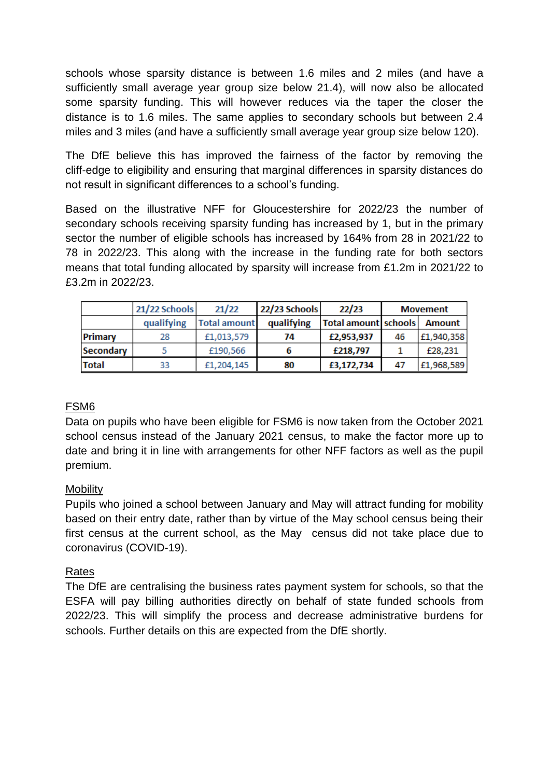schools whose sparsity distance is between 1.6 miles and 2 miles (and have a sufficiently small average year group size below 21.4), will now also be allocated some sparsity funding. This will however reduces via the taper the closer the distance is to 1.6 miles. The same applies to secondary schools but between 2.4 miles and 3 miles (and have a sufficiently small average year group size below 120).

The DfE believe this has improved the fairness of the factor by removing the cliff-edge to eligibility and ensuring that marginal differences in sparsity distances do not result in significant differences to a school's funding.

Based on the illustrative NFF for Gloucestershire for 2022/23 the number of secondary schools receiving sparsity funding has increased by 1, but in the primary sector the number of eligible schools has increased by 164% from 28 in 2021/22 to 78 in 2022/23. This along with the increase in the funding rate for both sectors means that total funding allocated by sparsity will increase from £1.2m in 2021/22 to £3.2m in 2022/23.

|              | 21/22 Schools | 21/22               | 22/23 Schools | 22/23                |    | <b>Movement</b> |
|--------------|---------------|---------------------|---------------|----------------------|----|-----------------|
|              | qualifying    | <b>Total amount</b> | qualifying    | Total amount schools |    | <b>Amount</b>   |
| Primary      | 28            | £1,013,579          | 74            | £2,953,937           | 46 | £1,940,358      |
| Secondary    |               | £190,566            | b             | £218,797             |    | £28,231         |
| <b>Total</b> | 33            | £1,204,145          | 80            | £3,172,734           | 47 | £1,968,589      |

# FSM6

Data on pupils who have been eligible for FSM6 is now taken from the October 2021 school census instead of the January 2021 census, to make the factor more up to date and bring it in line with arrangements for other NFF factors as well as the pupil premium.

# Mobility

Pupils who joined a school between January and May will attract funding for mobility based on their entry date, rather than by virtue of the May school census being their first census at the current school, as the May census did not take place due to coronavirus (COVID-19).

# Rates

The DfE are centralising the business rates payment system for schools, so that the ESFA will pay billing authorities directly on behalf of state funded schools from 2022/23. This will simplify the process and decrease administrative burdens for schools. Further details on this are expected from the DfE shortly.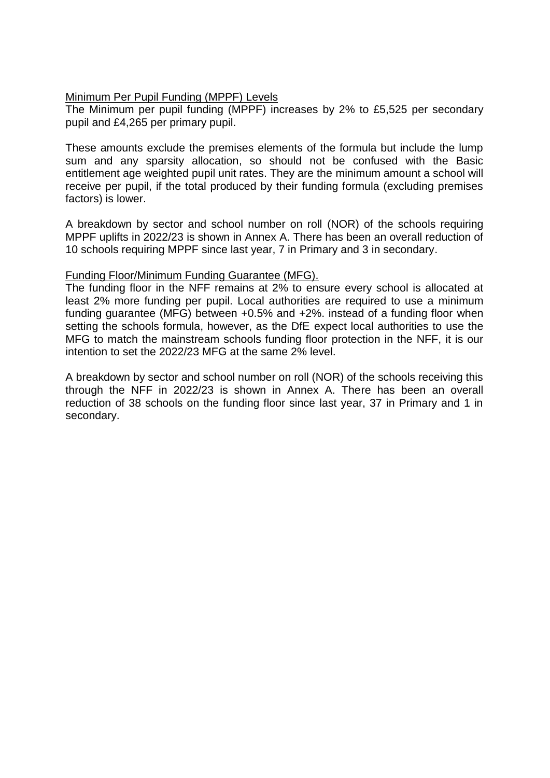### Minimum Per Pupil Funding (MPPF) Levels

The Minimum per pupil funding (MPPF) increases by 2% to £5,525 per secondary pupil and £4,265 per primary pupil.

These amounts exclude the premises elements of the formula but include the lump sum and any sparsity allocation, so should not be confused with the Basic entitlement age weighted pupil unit rates. They are the minimum amount a school will receive per pupil, if the total produced by their funding formula (excluding premises factors) is lower.

A breakdown by sector and school number on roll (NOR) of the schools requiring MPPF uplifts in 2022/23 is shown in Annex A. There has been an overall reduction of 10 schools requiring MPPF since last year, 7 in Primary and 3 in secondary.

### Funding Floor/Minimum Funding Guarantee (MFG).

The funding floor in the NFF remains at 2% to ensure every school is allocated at least 2% more funding per pupil. Local authorities are required to use a minimum funding guarantee (MFG) between +0.5% and +2%. instead of a funding floor when setting the schools formula, however, as the DfE expect local authorities to use the MFG to match the mainstream schools funding floor protection in the NFF, it is our intention to set the 2022/23 MFG at the same 2% level.

A breakdown by sector and school number on roll (NOR) of the schools receiving this through the NFF in 2022/23 is shown in Annex A. There has been an overall reduction of 38 schools on the funding floor since last year, 37 in Primary and 1 in secondary.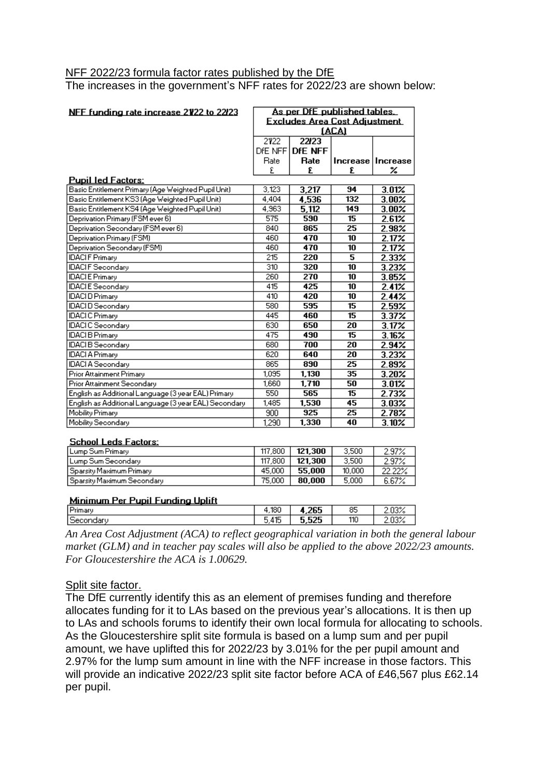### NFF 2022/23 formula factor rates published by the DfE

The increases in the government's NFF rates for 2022/23 are shown below:

| NFF funding rate increase 2122 to 2223                | As per DfE published tables.  |                |                         |                     |
|-------------------------------------------------------|-------------------------------|----------------|-------------------------|---------------------|
|                                                       | Excludes Area Cost Adjustment |                |                         |                     |
|                                                       | <b>(ACA)</b>                  |                |                         |                     |
|                                                       | 2122                          | 22/23          |                         |                     |
|                                                       | DFE NFF                       | <b>DFE NFF</b> |                         |                     |
|                                                       | Rate                          | Rate           |                         | Increase   Increase |
|                                                       | £                             | £              | £                       | %                   |
| <u> Pupil led Factors:</u>                            |                               |                |                         |                     |
| Basic Entitlement Primary (Age Weighted Pupil Unit)   | 3.123                         | 3,217          | 94                      | 3.01%               |
| Basic Entitlement KS3 (Age Weighted Pupil Unit)       | 4.404                         | 4,536          | 132                     | $3.00\%$            |
| Basic Entitlement KS4 (Age Weighted Pupil Unit)       | 4,963                         | 5,112          | 149                     | $3.00\%$            |
| Deprivation Primary (FSM ever 6)                      | 575                           | 590            | 15                      | 2.61%               |
| Deprivation Secondary (FSM ever 6)                    | 840                           | 865            | 25                      | 2.98%               |
| Deprivation Primary (FSM)                             | 460                           | 470            | 10                      | $2.17\%$            |
| Deprivation Secondary (FSM)                           | 460                           | 470            | 10                      | 2.17%               |
| <b>IDACIF Primary</b>                                 | 215                           | 220            | $\overline{\mathbf{5}}$ | 2.33%               |
| <b>IDACIF</b> Secondary                               | 310                           | 320            | 10                      | 3.23%               |
| <b>IDACIE Primary</b>                                 | 260                           | 270            | 10                      | 3.85%               |
| <b>IDACIE</b> Secondary                               | 415                           | 425            | 10                      | 2.41%               |
| <b>IDACI D Primary</b>                                | 410                           | 420            | 10                      | 2.44%               |
| <b>IDACI D Secondary</b>                              | 580                           | 595            | 15                      | 2.59%               |
| <b>IDACIC</b> Primary                                 | 445                           | 460            | 15                      | 3.37%               |
| <b>IDACIC</b> Secondary                               | 630                           | 650            | 20                      | 3.17%               |
| <b>IDACIB</b> Primary                                 | 475                           | 490            | 15                      | 3.16%               |
| <b>IDACIB</b> Secondary                               | 680                           | 700            | 20                      | 2.94%               |
| <b>IDACI A Primary</b>                                | 620                           | 640            | 20                      | 3.23%               |
| <b>IDACI A Secondary</b>                              | 865                           | 890            | 25                      | 2.89%               |
| Prior Attainment Primary                              | 1,095                         | 1,130          | 35                      | 3.20%               |
| Prior Attainment Secondary                            | 1,660                         | 1,710          | 50                      | 3.01%               |
| English as Additional Language (3 year EAL) Primary   | 550                           | 565            | 15                      | 2.73%               |
| English as Additional Language (3 year EAL) Secondary | 1,485                         | 1,530          | 45                      | 3.03%               |
| Mobility Primary                                      | 900                           | 925            | 25                      | 2.78%               |
| Mobility Secondary                                    | 1.290                         | 1,330          | 40                      | 3.10%               |

#### School Leds Factors:

| Lump Sum Primary               | 117,800 | 121.300 | 3,500  | 2.97%  |
|--------------------------------|---------|---------|--------|--------|
| Lump Sum Secondary             | 117,800 | 121.300 | 3.500  | 2.97%  |
| i Sparsity Maximum Primary -   | 45,000  | 55.000  | 10,000 | 22.22% |
| i Sparsity Maximum Secondary . | 75.000  | 80.000  | 5.000  | 6.67%  |

#### Minimum Per Pupil Funding Uplift

| $\overline{\phantom{a}}$ | 180                                 | oot.       | 85  |  |
|--------------------------|-------------------------------------|------------|-----|--|
| ΙC                       | $-$<br>$\overline{\phantom{0}}$<br> | <b>CAC</b> | 110 |  |
|                          |                                     |            |     |  |

*An Area Cost Adjustment (ACA) to reflect geographical variation in both the general labour market (GLM) and in teacher pay scales will also be applied to the above 2022/23 amounts. For Gloucestershire the ACA is 1.00629.*

# Split site factor.

The DfE currently identify this as an element of premises funding and therefore allocates funding for it to LAs based on the previous year's allocations. It is then up to LAs and schools forums to identify their own local formula for allocating to schools. As the Gloucestershire split site formula is based on a lump sum and per pupil amount, we have uplifted this for 2022/23 by 3.01% for the per pupil amount and 2.97% for the lump sum amount in line with the NFF increase in those factors. This will provide an indicative 2022/23 split site factor before ACA of £46,567 plus £62.14 per pupil.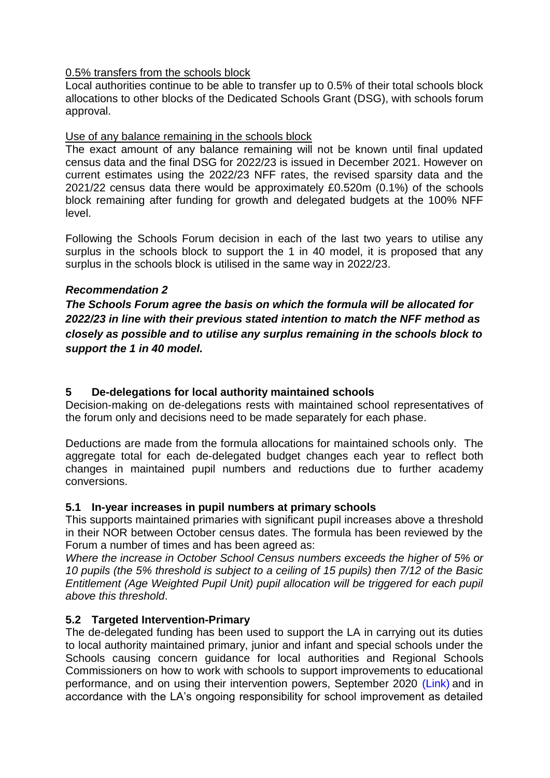### 0.5% transfers from the schools block

Local authorities continue to be able to transfer up to 0.5% of their total schools block allocations to other blocks of the Dedicated Schools Grant (DSG), with schools forum approval.

### Use of any balance remaining in the schools block

The exact amount of any balance remaining will not be known until final updated census data and the final DSG for 2022/23 is issued in December 2021. However on current estimates using the 2022/23 NFF rates, the revised sparsity data and the 2021/22 census data there would be approximately £0.520m (0.1%) of the schools block remaining after funding for growth and delegated budgets at the 100% NFF level.

Following the Schools Forum decision in each of the last two years to utilise any surplus in the schools block to support the 1 in 40 model, it is proposed that any surplus in the schools block is utilised in the same way in 2022/23.

### *Recommendation 2*

*The Schools Forum agree the basis on which the formula will be allocated for 2022/23 in line with their previous stated intention to match the NFF method as closely as possible and to utilise any surplus remaining in the schools block to support the 1 in 40 model.*

### **5 De-delegations for local authority maintained schools**

Decision-making on de-delegations rests with maintained school representatives of the forum only and decisions need to be made separately for each phase.

Deductions are made from the formula allocations for maintained schools only. The aggregate total for each de-delegated budget changes each year to reflect both changes in maintained pupil numbers and reductions due to further academy conversions.

# **5.1 In-year increases in pupil numbers at primary schools**

This supports maintained primaries with significant pupil increases above a threshold in their NOR between October census dates. The formula has been reviewed by the Forum a number of times and has been agreed as:

*Where the increase in October School Census numbers exceeds the higher of 5% or 10 pupils (the 5% threshold is subject to a ceiling of 15 pupils) then 7/12 of the Basic Entitlement (Age Weighted Pupil Unit) pupil allocation will be triggered for each pupil above this threshold*.

# **5.2 Targeted Intervention-Primary**

The de-delegated funding has been used to support the LA in carrying out its duties to local authority maintained primary, junior and infant and special schools under the Schools causing concern guidance for local authorities and Regional Schools Commissioners on how to work with schools to support improvements to educational performance, and on using their intervention powers, September 2020 [\(Link\)](https://assets.publishing.service.gov.uk/government/uploads/system/uploads/attachment_data/file/922910/schools_causing_concern1.pdf) and in accordance with the LA's ongoing responsibility for school improvement as detailed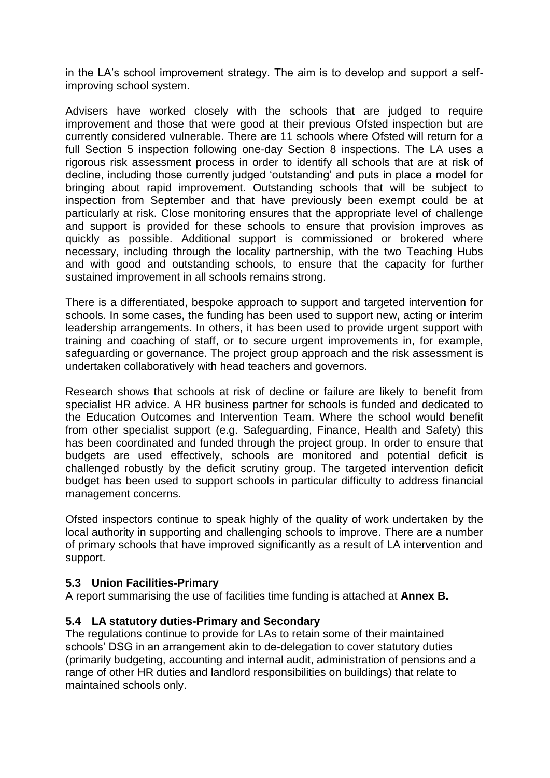in the LA's school improvement strategy. The aim is to develop and support a selfimproving school system.

Advisers have worked closely with the schools that are judged to require improvement and those that were good at their previous Ofsted inspection but are currently considered vulnerable. There are 11 schools where Ofsted will return for a full Section 5 inspection following one-day Section 8 inspections. The LA uses a rigorous risk assessment process in order to identify all schools that are at risk of decline, including those currently judged 'outstanding' and puts in place a model for bringing about rapid improvement. Outstanding schools that will be subject to inspection from September and that have previously been exempt could be at particularly at risk. Close monitoring ensures that the appropriate level of challenge and support is provided for these schools to ensure that provision improves as quickly as possible. Additional support is commissioned or brokered where necessary, including through the locality partnership, with the two Teaching Hubs and with good and outstanding schools, to ensure that the capacity for further sustained improvement in all schools remains strong.

There is a differentiated, bespoke approach to support and targeted intervention for schools. In some cases, the funding has been used to support new, acting or interim leadership arrangements. In others, it has been used to provide urgent support with training and coaching of staff, or to secure urgent improvements in, for example, safeguarding or governance. The project group approach and the risk assessment is undertaken collaboratively with head teachers and governors.

Research shows that schools at risk of decline or failure are likely to benefit from specialist HR advice. A HR business partner for schools is funded and dedicated to the Education Outcomes and Intervention Team. Where the school would benefit from other specialist support (e.g. Safeguarding, Finance, Health and Safety) this has been coordinated and funded through the project group. In order to ensure that budgets are used effectively, schools are monitored and potential deficit is challenged robustly by the deficit scrutiny group. The targeted intervention deficit budget has been used to support schools in particular difficulty to address financial management concerns.

Ofsted inspectors continue to speak highly of the quality of work undertaken by the local authority in supporting and challenging schools to improve. There are a number of primary schools that have improved significantly as a result of LA intervention and support.

### **5.3 Union Facilities-Primary**

A report summarising the use of facilities time funding is attached at **Annex B.**

# **5.4 LA statutory duties-Primary and Secondary**

The regulations continue to provide for LAs to retain some of their maintained schools' DSG in an arrangement akin to de-delegation to cover statutory duties (primarily budgeting, accounting and internal audit, administration of pensions and a range of other HR duties and landlord responsibilities on buildings) that relate to maintained schools only.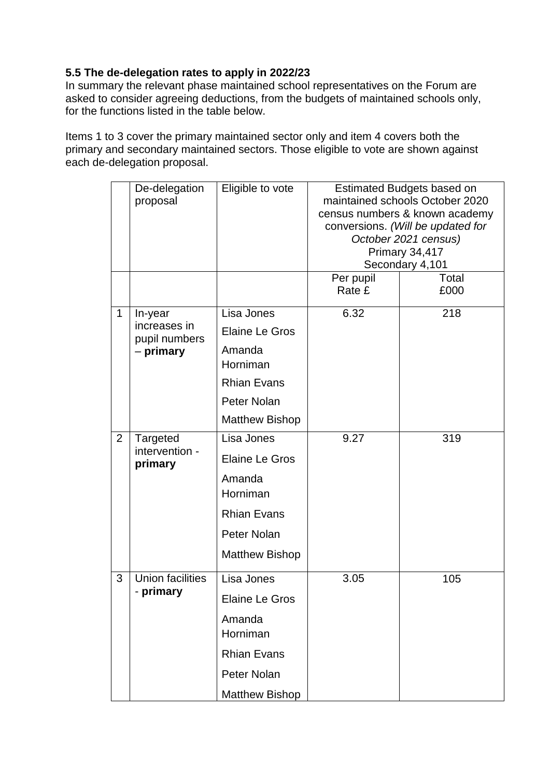# **5.5 The de-delegation rates to apply in 2022/23**

In summary the relevant phase maintained school representatives on the Forum are asked to consider agreeing deductions, from the budgets of maintained schools only, for the functions listed in the table below.

Items 1 to 3 cover the primary maintained sector only and item 4 covers both the primary and secondary maintained sectors. Those eligible to vote are shown against each de-delegation proposal.

|   | De-delegation<br>proposal     | Eligible to vote      | Estimated Budgets based on<br>maintained schools October 2020<br>census numbers & known academy<br>conversions. (Will be updated for<br>October 2021 census)<br>Primary 34,417<br>Secondary 4,101 |               |
|---|-------------------------------|-----------------------|---------------------------------------------------------------------------------------------------------------------------------------------------------------------------------------------------|---------------|
|   |                               |                       | Per pupil<br>Rate £                                                                                                                                                                               | Total<br>£000 |
| 1 | In-year                       | Lisa Jones            | 6.32                                                                                                                                                                                              | 218           |
|   | increases in<br>pupil numbers | <b>Elaine Le Gros</b> |                                                                                                                                                                                                   |               |
|   | - primary                     | Amanda<br>Horniman    |                                                                                                                                                                                                   |               |
|   |                               | <b>Rhian Evans</b>    |                                                                                                                                                                                                   |               |
|   |                               | Peter Nolan           |                                                                                                                                                                                                   |               |
|   |                               | <b>Matthew Bishop</b> |                                                                                                                                                                                                   |               |
| 2 | Targeted                      | Lisa Jones            | 9.27                                                                                                                                                                                              | 319           |
|   | intervention -<br>primary     | <b>Elaine Le Gros</b> |                                                                                                                                                                                                   |               |
|   |                               | Amanda<br>Horniman    |                                                                                                                                                                                                   |               |
|   |                               | <b>Rhian Evans</b>    |                                                                                                                                                                                                   |               |
|   |                               | Peter Nolan           |                                                                                                                                                                                                   |               |
|   |                               | <b>Matthew Bishop</b> |                                                                                                                                                                                                   |               |
| 3 | <b>Union facilities</b>       | Lisa Jones            | 3.05                                                                                                                                                                                              | 105           |
|   | primary                       | <b>Elaine Le Gros</b> |                                                                                                                                                                                                   |               |
|   |                               | Amanda<br>Horniman    |                                                                                                                                                                                                   |               |
|   |                               | <b>Rhian Evans</b>    |                                                                                                                                                                                                   |               |
|   |                               | Peter Nolan           |                                                                                                                                                                                                   |               |
|   |                               | <b>Matthew Bishop</b> |                                                                                                                                                                                                   |               |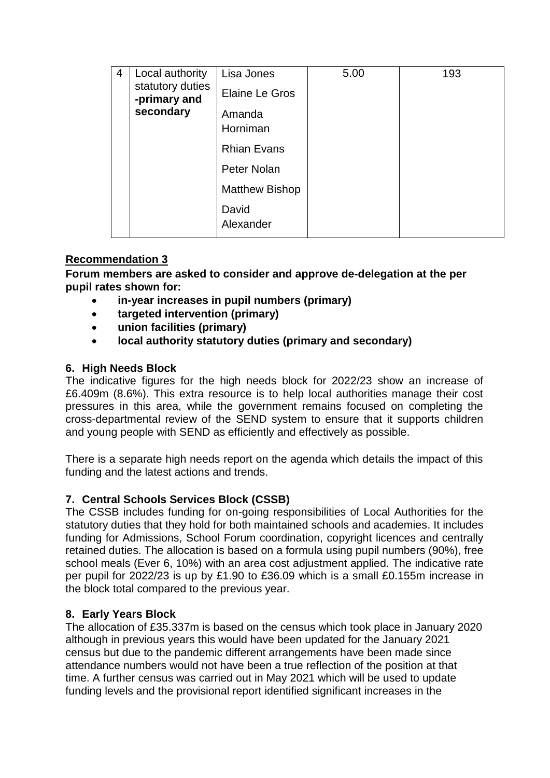| 4 | Local authority<br>statutory duties<br>-primary and<br>secondary | Lisa Jones<br><b>Elaine Le Gros</b><br>Amanda<br>Horniman                        | 5.00 | 193 |
|---|------------------------------------------------------------------|----------------------------------------------------------------------------------|------|-----|
|   |                                                                  | <b>Rhian Evans</b><br>Peter Nolan<br><b>Matthew Bishop</b><br>David<br>Alexander |      |     |

# **Recommendation 3**

**Forum members are asked to consider and approve de-delegation at the per pupil rates shown for:**

- **in-year increases in pupil numbers (primary)**
- **targeted intervention (primary)**
- **union facilities (primary)**
- **local authority statutory duties (primary and secondary)**

# **6. High Needs Block**

The indicative figures for the high needs block for 2022/23 show an increase of £6.409m (8.6%). This extra resource is to help local authorities manage their cost pressures in this area, while the government remains focused on completing the cross-departmental review of the SEND system to ensure that it supports children and young people with SEND as efficiently and effectively as possible.

There is a separate high needs report on the agenda which details the impact of this funding and the latest actions and trends.

# **7. Central Schools Services Block (CSSB)**

The CSSB includes funding for on-going responsibilities of Local Authorities for the statutory duties that they hold for both maintained schools and academies. It includes funding for Admissions, School Forum coordination, copyright licences and centrally retained duties. The allocation is based on a formula using pupil numbers (90%), free school meals (Ever 6, 10%) with an area cost adjustment applied. The indicative rate per pupil for 2022/23 is up by £1.90 to £36.09 which is a small £0.155m increase in the block total compared to the previous year.

# **8. Early Years Block**

The allocation of £35.337m is based on the census which took place in January 2020 although in previous years this would have been updated for the January 2021 census but due to the pandemic different arrangements have been made since attendance numbers would not have been a true reflection of the position at that time. A further census was carried out in May 2021 which will be used to update funding levels and the provisional report identified significant increases in the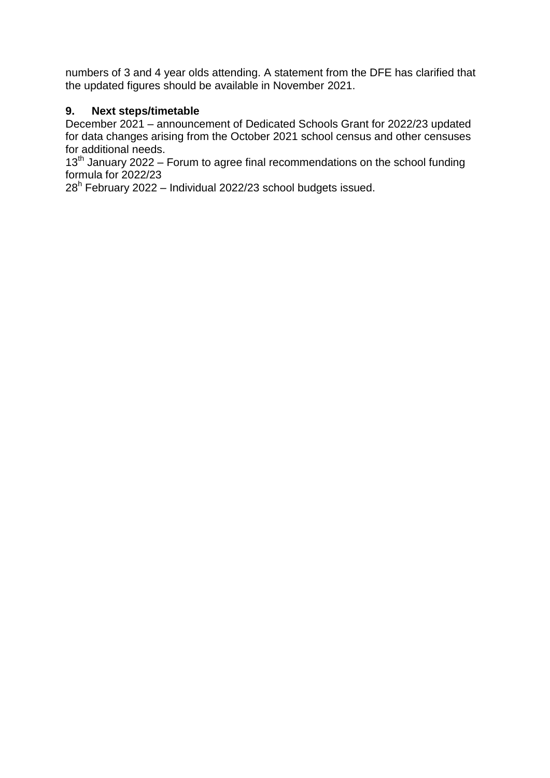numbers of 3 and 4 year olds attending. A statement from the DFE has clarified that the updated figures should be available in November 2021.

# **9. Next steps/timetable**

December 2021 – announcement of Dedicated Schools Grant for 2022/23 updated for data changes arising from the October 2021 school census and other censuses for additional needs.

 $13<sup>th</sup>$  January 2022 – Forum to agree final recommendations on the school funding formula for 2022/23

28<sup>h</sup> February 2022 – Individual 2022/23 school budgets issued.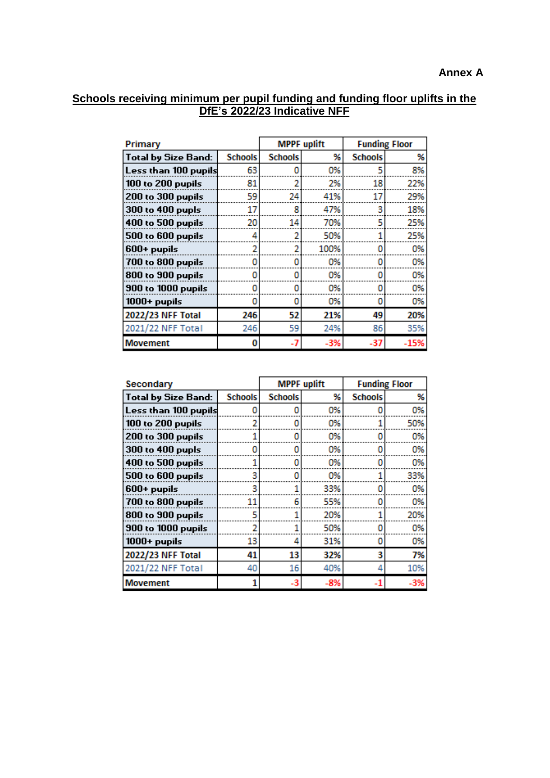### **Schools receiving minimum per pupil funding and funding floor uplifts in the DfE's 2022/23 Indicative NFF**

| Primary                    |                | <b>MPPF</b> uplift |       | <b>Funding Floor</b> |        |
|----------------------------|----------------|--------------------|-------|----------------------|--------|
| <b>Total by Size Band:</b> | <b>Schools</b> | <b>Schools</b>     | %     | <b>Schools</b>       | %      |
| Less than 100 pupils       | 63             | 0                  | 0%    | 5                    | 8%     |
| 100 to 200 pupils          | 81             |                    | 2%    | 18                   | 22%    |
| <b>200 to 300 pupils</b>   | 59             | 24                 | 41%   | 17                   | 29%    |
| 300 to 400 pupls           | 17             | 8                  | 47%   | 3                    | 18%    |
| <b>400 to 500 pupils</b>   | 20             | 14                 | 70%   | 5                    | 25%    |
| 500 to 600 pupils          | 4              |                    | 50%   |                      | 25%    |
| 600+ pupils                |                |                    | 100%  |                      | 0%     |
| 700 to 800 pupils          | Ω              | Ω                  | 0%    | Ω                    | 0%     |
| 800 to 900 pupils          |                |                    | 0%    |                      | 0%     |
| <b>900 to 1000 pupils</b>  |                |                    | 0%    |                      | 0%     |
| $1000+$ pupils             | 0              | o                  | 0%    | 0                    | 0%     |
| 2022/23 NFF Total          | 246            | 52                 | 21%   | 49                   | 20%    |
| 2021/22 NFF Total          | 246            | 59                 | 24%   | 86                   | 35%    |
| <b>Movement</b>            | 0              | $-7$               | $-3%$ | $-37$                | $-15%$ |

| Secondary                 |                | <b>MPPF</b> uplift |     | <b>Funding Floor</b> |       |
|---------------------------|----------------|--------------------|-----|----------------------|-------|
| Total by Size Band:       | <b>Schools</b> | <b>Schools</b>     | %   | <b>Schools</b>       | %     |
| Less than 100 pupils      | ٥              | 0                  | 0%  |                      | 0%    |
| 100 to 200 pupils         | 2              |                    | 0%  |                      | 50%   |
| 200 to 300 pupils         |                |                    | 0%  |                      | 0%    |
| 300 to 400 pupls          | 0              | 0                  | 0%  |                      | 0%    |
| <b>400 to 500 pupils</b>  |                | Ω                  | 0%  |                      | 0%    |
| <b>500 to 600 pupils</b>  | 3              |                    | 0%  |                      | 33%   |
| $600+$ pupils             | 3              |                    | 33% |                      | 0%    |
| 700 to 800 pupils         | 11             | 6                  | 55% |                      | 0%    |
| 800 to 900 pupils         | 5              |                    | 20% |                      | 20%   |
| <b>900 to 1000 pupils</b> | 2              |                    | 50% |                      | 0%    |
| $1000+$ pupils            | 13             | 4                  | 31% | 0                    | 0%    |
| 2022/23 NFF Total         | 41             | 13                 | 32% | 3                    | 7%    |
| 2021/22 NFF Total         | 40             | 16                 | 40% | 4                    | 10%   |
| <b>Movement</b>           | 1              | $-3$               | -8% |                      | $-3%$ |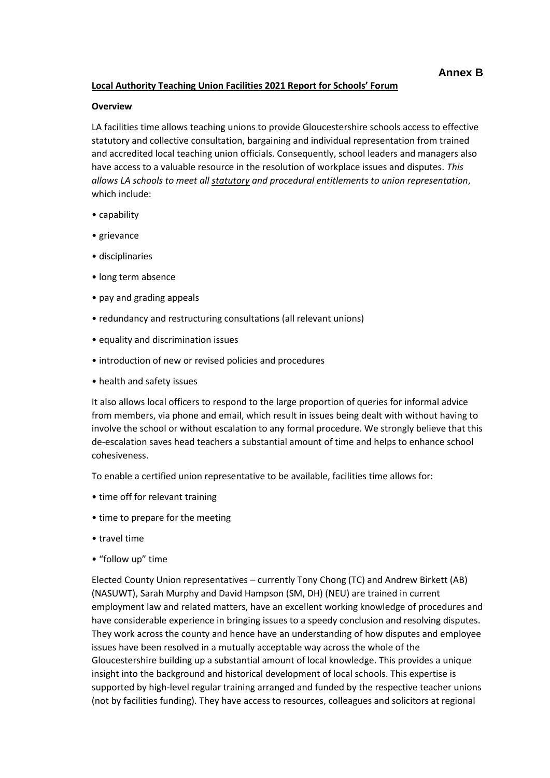#### **Local Authority Teaching Union Facilities 2021 Report for Schools' Forum**

#### **Overview**

LA facilities time allows teaching unions to provide Gloucestershire schools access to effective statutory and collective consultation, bargaining and individual representation from trained and accredited local teaching union officials. Consequently, school leaders and managers also have access to a valuable resource in the resolution of workplace issues and disputes. *This allows LA schools to meet all statutory and procedural entitlements to union representation*, which include:

- capability
- grievance
- disciplinaries
- long term absence
- pay and grading appeals
- redundancy and restructuring consultations (all relevant unions)
- equality and discrimination issues
- introduction of new or revised policies and procedures
- health and safety issues

It also allows local officers to respond to the large proportion of queries for informal advice from members, via phone and email, which result in issues being dealt with without having to involve the school or without escalation to any formal procedure. We strongly believe that this de-escalation saves head teachers a substantial amount of time and helps to enhance school cohesiveness.

To enable a certified union representative to be available, facilities time allows for:

- time off for relevant training
- time to prepare for the meeting
- travel time
- "follow up" time

Elected County Union representatives – currently Tony Chong (TC) and Andrew Birkett (AB) (NASUWT), Sarah Murphy and David Hampson (SM, DH) (NEU) are trained in current employment law and related matters, have an excellent working knowledge of procedures and have considerable experience in bringing issues to a speedy conclusion and resolving disputes. They work across the county and hence have an understanding of how disputes and employee issues have been resolved in a mutually acceptable way across the whole of the Gloucestershire building up a substantial amount of local knowledge. This provides a unique insight into the background and historical development of local schools. This expertise is supported by high-level regular training arranged and funded by the respective teacher unions (not by facilities funding). They have access to resources, colleagues and solicitors at regional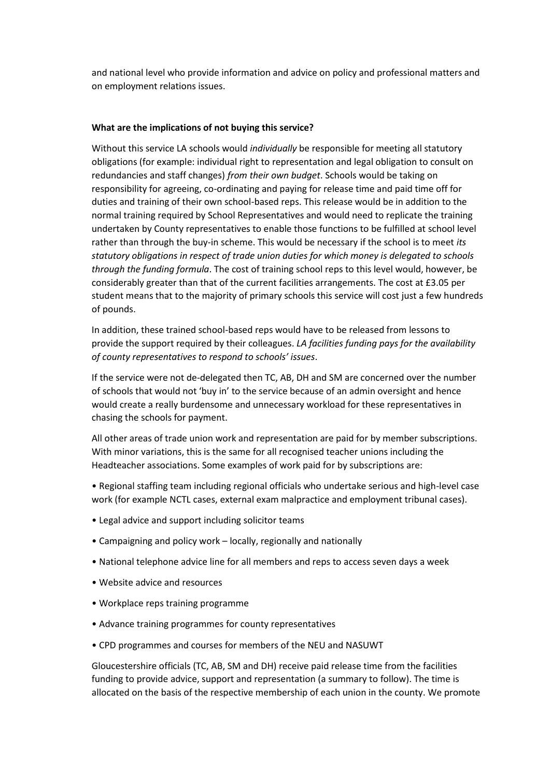and national level who provide information and advice on policy and professional matters and on employment relations issues.

#### **What are the implications of not buying this service?**

Without this service LA schools would *individually* be responsible for meeting all statutory obligations (for example: individual right to representation and legal obligation to consult on redundancies and staff changes) *from their own budget*. Schools would be taking on responsibility for agreeing, co-ordinating and paying for release time and paid time off for duties and training of their own school-based reps. This release would be in addition to the normal training required by School Representatives and would need to replicate the training undertaken by County representatives to enable those functions to be fulfilled at school level rather than through the buy-in scheme. This would be necessary if the school is to meet *its statutory obligations in respect of trade union duties for which money is delegated to schools through the funding formula*. The cost of training school reps to this level would, however, be considerably greater than that of the current facilities arrangements. The cost at £3.05 per student means that to the majority of primary schools this service will cost just a few hundreds of pounds.

In addition, these trained school-based reps would have to be released from lessons to provide the support required by their colleagues. *LA facilities funding pays for the availability of county representatives to respond to schools' issues*.

If the service were not de-delegated then TC, AB, DH and SM are concerned over the number of schools that would not 'buy in' to the service because of an admin oversight and hence would create a really burdensome and unnecessary workload for these representatives in chasing the schools for payment.

All other areas of trade union work and representation are paid for by member subscriptions. With minor variations, this is the same for all recognised teacher unions including the Headteacher associations. Some examples of work paid for by subscriptions are:

• Regional staffing team including regional officials who undertake serious and high-level case work (for example NCTL cases, external exam malpractice and employment tribunal cases).

- Legal advice and support including solicitor teams
- Campaigning and policy work locally, regionally and nationally
- National telephone advice line for all members and reps to access seven days a week
- Website advice and resources
- Workplace reps training programme
- Advance training programmes for county representatives
- CPD programmes and courses for members of the NEU and NASUWT

Gloucestershire officials (TC, AB, SM and DH) receive paid release time from the facilities funding to provide advice, support and representation (a summary to follow). The time is allocated on the basis of the respective membership of each union in the county. We promote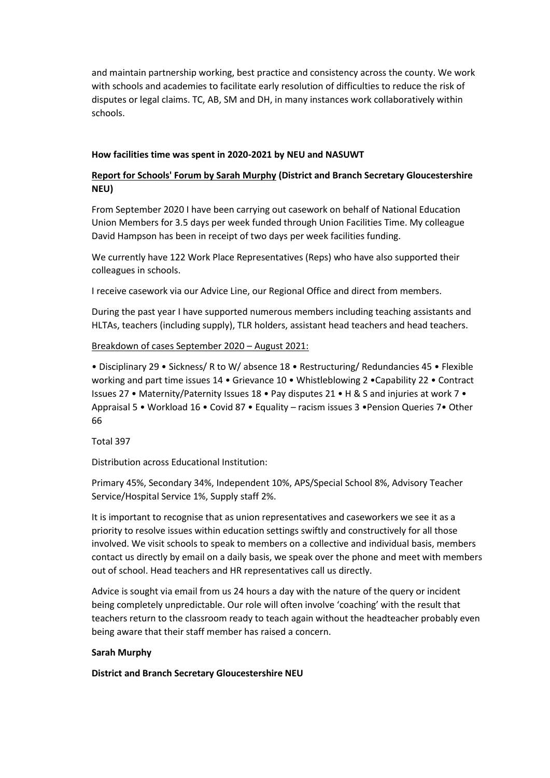and maintain partnership working, best practice and consistency across the county. We work with schools and academies to facilitate early resolution of difficulties to reduce the risk of disputes or legal claims. TC, AB, SM and DH, in many instances work collaboratively within schools.

#### **How facilities time was spent in 2020-2021 by NEU and NASUWT**

### **Report for Schools' Forum by Sarah Murphy (District and Branch Secretary Gloucestershire NEU)**

From September 2020 I have been carrying out casework on behalf of National Education Union Members for 3.5 days per week funded through Union Facilities Time. My colleague David Hampson has been in receipt of two days per week facilities funding.

We currently have 122 Work Place Representatives (Reps) who have also supported their colleagues in schools.

I receive casework via our Advice Line, our Regional Office and direct from members.

During the past year I have supported numerous members including teaching assistants and HLTAs, teachers (including supply), TLR holders, assistant head teachers and head teachers.

#### Breakdown of cases September 2020 – August 2021:

• Disciplinary 29 • Sickness/ R to W/ absence 18 • Restructuring/ Redundancies 45 • Flexible working and part time issues 14 • Grievance 10 • Whistleblowing 2 •Capability 22 • Contract Issues 27 • Maternity/Paternity Issues 18 • Pay disputes 21 • H & S and injuries at work 7 • Appraisal 5 • Workload 16 • Covid 87 • Equality – racism issues 3 •Pension Queries 7• Other 66

Total 397

Distribution across Educational Institution:

Primary 45%, Secondary 34%, Independent 10%, APS/Special School 8%, Advisory Teacher Service/Hospital Service 1%, Supply staff 2%.

It is important to recognise that as union representatives and caseworkers we see it as a priority to resolve issues within education settings swiftly and constructively for all those involved. We visit schools to speak to members on a collective and individual basis, members contact us directly by email on a daily basis, we speak over the phone and meet with members out of school. Head teachers and HR representatives call us directly.

Advice is sought via email from us 24 hours a day with the nature of the query or incident being completely unpredictable. Our role will often involve 'coaching' with the result that teachers return to the classroom ready to teach again without the headteacher probably even being aware that their staff member has raised a concern.

#### **Sarah Murphy**

**District and Branch Secretary Gloucestershire NEU**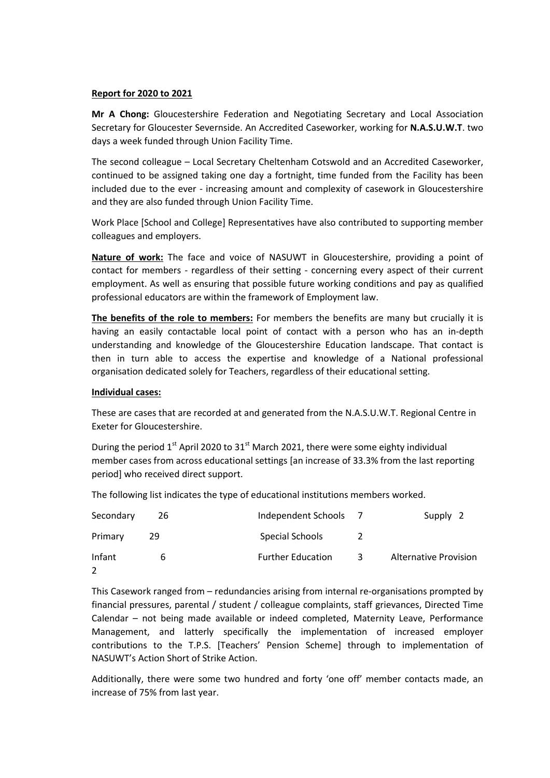#### **Report for 2020 to 2021**

**Mr A Chong:** Gloucestershire Federation and Negotiating Secretary and Local Association Secretary for Gloucester Severnside. An Accredited Caseworker, working for **N.A.S.U.W.T**. two days a week funded through Union Facility Time.

The second colleague – Local Secretary Cheltenham Cotswold and an Accredited Caseworker, continued to be assigned taking one day a fortnight, time funded from the Facility has been included due to the ever - increasing amount and complexity of casework in Gloucestershire and they are also funded through Union Facility Time.

Work Place [School and College] Representatives have also contributed to supporting member colleagues and employers.

**Nature of work:** The face and voice of NASUWT in Gloucestershire, providing a point of contact for members - regardless of their setting - concerning every aspect of their current employment. As well as ensuring that possible future working conditions and pay as qualified professional educators are within the framework of Employment law.

**The benefits of the role to members:** For members the benefits are many but crucially it is having an easily contactable local point of contact with a person who has an in-depth understanding and knowledge of the Gloucestershire Education landscape. That contact is then in turn able to access the expertise and knowledge of a National professional organisation dedicated solely for Teachers, regardless of their educational setting.

#### **Individual cases:**

These are cases that are recorded at and generated from the N.A.S.U.W.T. Regional Centre in Exeter for Gloucestershire.

During the period  $1<sup>st</sup>$  April 2020 to 31 $<sup>st</sup>$  March 2021, there were some eighty individual</sup> member cases from across educational settings [an increase of 33.3% from the last reporting period] who received direct support.

The following list indicates the type of educational institutions members worked.

| Secondary | 26 | Independent Schools      |   | Supply 2                     |
|-----------|----|--------------------------|---|------------------------------|
| Primary   | 29 | Special Schools          |   |                              |
| Infant    | h  | <b>Further Education</b> | 3 | <b>Alternative Provision</b> |

This Casework ranged from – redundancies arising from internal re-organisations prompted by financial pressures, parental / student / colleague complaints, staff grievances, Directed Time Calendar – not being made available or indeed completed, Maternity Leave, Performance Management, and latterly specifically the implementation of increased employer contributions to the T.P.S. [Teachers' Pension Scheme] through to implementation of NASUWT's Action Short of Strike Action.

Additionally, there were some two hundred and forty 'one off' member contacts made, an increase of 75% from last year.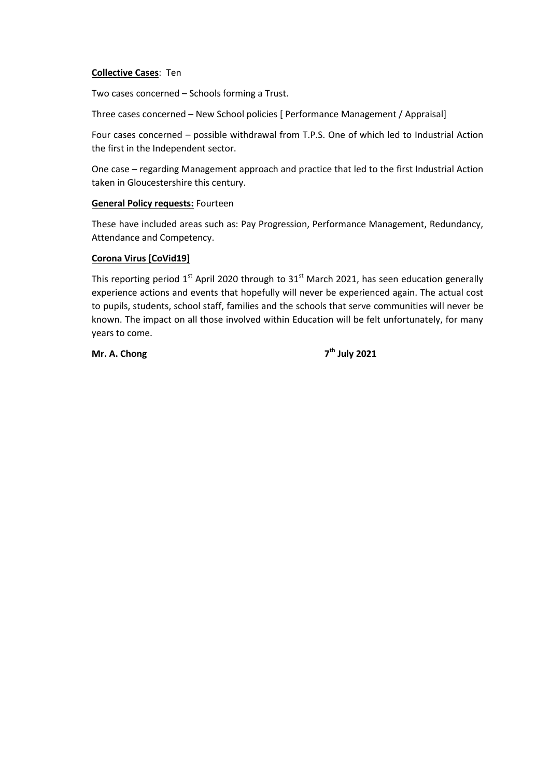#### **Collective Cases**: Ten

Two cases concerned – Schools forming a Trust.

Three cases concerned – New School policies [ Performance Management / Appraisal]

Four cases concerned – possible withdrawal from T.P.S. One of which led to Industrial Action the first in the Independent sector.

One case – regarding Management approach and practice that led to the first Industrial Action taken in Gloucestershire this century.

#### **General Policy requests:** Fourteen

These have included areas such as: Pay Progression, Performance Management, Redundancy, Attendance and Competency.

#### **Corona Virus [CoVid19]**

This reporting period  $1<sup>st</sup>$  April 2020 through to 31 $<sup>st</sup>$  March 2021, has seen education generally</sup> experience actions and events that hopefully will never be experienced again. The actual cost to pupils, students, school staff, families and the schools that serve communities will never be known. The impact on all those involved within Education will be felt unfortunately, for many years to come.

**Mr. A. Chong 7**

**th July 2021**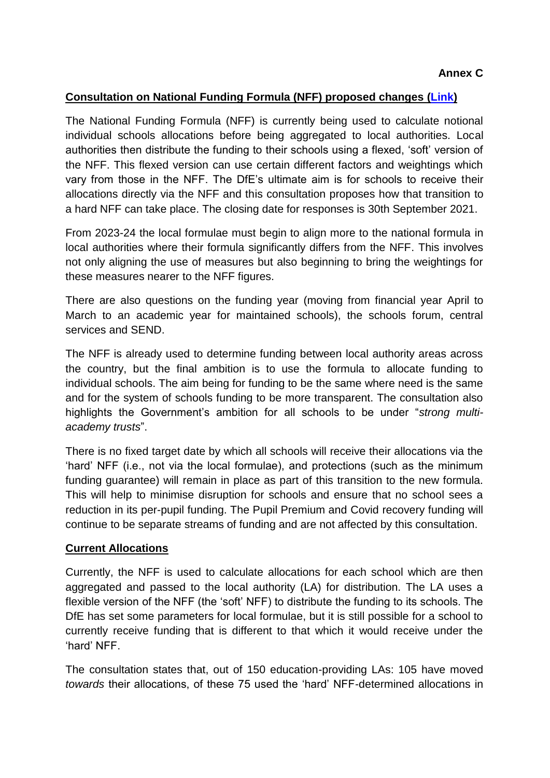### **Consultation on National Funding Formula (NFF) proposed changes [\(Link\)](https://consult.education.gov.uk/funding-policy-unit/completing-our-reforms-to-the-nff/)**

The National Funding Formula (NFF) is currently being used to calculate notional individual schools allocations before being aggregated to local authorities. Local authorities then distribute the funding to their schools using a flexed, 'soft' version of the NFF. This flexed version can use certain different factors and weightings which vary from those in the NFF. The DfE's ultimate aim is for schools to receive their allocations directly via the NFF and this consultation proposes how that transition to a hard NFF can take place. The closing date for responses is 30th September 2021.

From 2023-24 the local formulae must begin to align more to the national formula in local authorities where their formula significantly differs from the NFF. This involves not only aligning the use of measures but also beginning to bring the weightings for these measures nearer to the NFF figures.

There are also questions on the funding year (moving from financial year April to March to an academic year for maintained schools), the schools forum, central services and SEND.

The NFF is already used to determine funding between local authority areas across the country, but the final ambition is to use the formula to allocate funding to individual schools. The aim being for funding to be the same where need is the same and for the system of schools funding to be more transparent. The consultation also highlights the Government's ambition for all schools to be under "*strong multiacademy trusts*".

There is no fixed target date by which all schools will receive their allocations via the 'hard' NFF (i.e., not via the local formulae), and protections (such as the minimum funding guarantee) will remain in place as part of this transition to the new formula. This will help to minimise disruption for schools and ensure that no school sees a reduction in its per-pupil funding. The Pupil Premium and Covid recovery funding will continue to be separate streams of funding and are not affected by this consultation.

# **Current Allocations**

Currently, the NFF is used to calculate allocations for each school which are then aggregated and passed to the local authority (LA) for distribution. The LA uses a flexible version of the NFF (the 'soft' NFF) to distribute the funding to its schools. The DfE has set some parameters for local formulae, but it is still possible for a school to currently receive funding that is different to that which it would receive under the 'hard' NFF.

The consultation states that, out of 150 education-providing LAs: 105 have moved *towards* their allocations, of these 75 used the 'hard' NFF-determined allocations in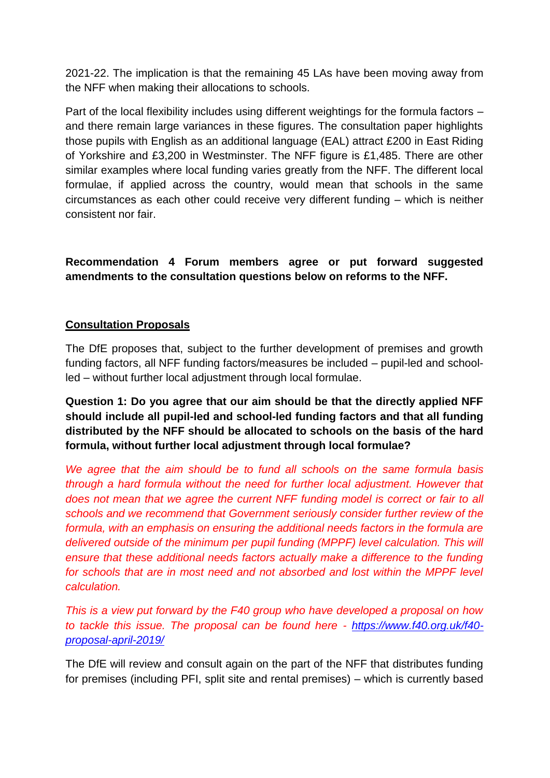2021-22. The implication is that the remaining 45 LAs have been moving away from the NFF when making their allocations to schools.

Part of the local flexibility includes using different weightings for the formula factors – and there remain large variances in these figures. The consultation paper highlights those pupils with English as an additional language (EAL) attract £200 in East Riding of Yorkshire and £3,200 in Westminster. The NFF figure is £1,485. There are other similar examples where local funding varies greatly from the NFF. The different local formulae, if applied across the country, would mean that schools in the same circumstances as each other could receive very different funding – which is neither consistent nor fair.

**Recommendation 4 Forum members agree or put forward suggested amendments to the consultation questions below on reforms to the NFF.**

# **Consultation Proposals**

The DfE proposes that, subject to the further development of premises and growth funding factors, all NFF funding factors/measures be included – pupil-led and schoolled – without further local adjustment through local formulae.

**Question 1: Do you agree that our aim should be that the directly applied NFF should include all pupil-led and school-led funding factors and that all funding distributed by the NFF should be allocated to schools on the basis of the hard formula, without further local adjustment through local formulae?**

*We agree that the aim should be to fund all schools on the same formula basis through a hard formula without the need for further local adjustment. However that does not mean that we agree the current NFF funding model is correct or fair to all schools and we recommend that Government seriously consider further review of the formula, with an emphasis on ensuring the additional needs factors in the formula are delivered outside of the minimum per pupil funding (MPPF) level calculation. This will ensure that these additional needs factors actually make a difference to the funding*  for schools that are in most need and not absorbed and lost within the MPPF level *calculation.*

*This is a view put forward by the F40 group who have developed a proposal on how to tackle this issue. The proposal can be found here - [https://www.f40.org.uk/f40](https://www.f40.org.uk/f40-proposal-april-2019/) [proposal-april-2019/](https://www.f40.org.uk/f40-proposal-april-2019/)*

The DfE will review and consult again on the part of the NFF that distributes funding for premises (including PFI, split site and rental premises) – which is currently based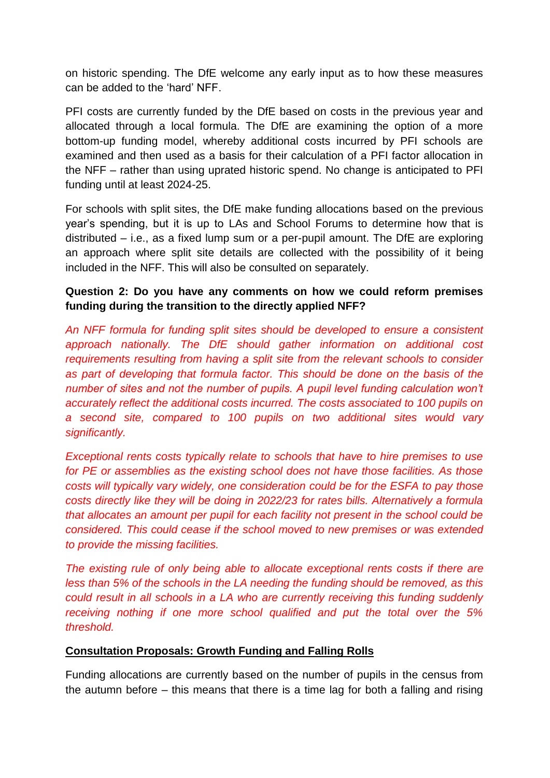on historic spending. The DfE welcome any early input as to how these measures can be added to the 'hard' NFF.

PFI costs are currently funded by the DfE based on costs in the previous year and allocated through a local formula. The DfE are examining the option of a more bottom-up funding model, whereby additional costs incurred by PFI schools are examined and then used as a basis for their calculation of a PFI factor allocation in the NFF – rather than using uprated historic spend. No change is anticipated to PFI funding until at least 2024-25.

For schools with split sites, the DfE make funding allocations based on the previous year's spending, but it is up to LAs and School Forums to determine how that is distributed – i.e., as a fixed lump sum or a per-pupil amount. The DfE are exploring an approach where split site details are collected with the possibility of it being included in the NFF. This will also be consulted on separately.

# **Question 2: Do you have any comments on how we could reform premises funding during the transition to the directly applied NFF?**

*An NFF formula for funding split sites should be developed to ensure a consistent approach nationally. The DfE should gather information on additional cost requirements resulting from having a split site from the relevant schools to consider as part of developing that formula factor. This should be done on the basis of the number of sites and not the number of pupils. A pupil level funding calculation won't accurately reflect the additional costs incurred. The costs associated to 100 pupils on a second site, compared to 100 pupils on two additional sites would vary significantly.*

*Exceptional rents costs typically relate to schools that have to hire premises to use for PE or assemblies as the existing school does not have those facilities. As those costs will typically vary widely, one consideration could be for the ESFA to pay those costs directly like they will be doing in 2022/23 for rates bills. Alternatively a formula that allocates an amount per pupil for each facility not present in the school could be considered. This could cease if the school moved to new premises or was extended to provide the missing facilities.*

*The existing rule of only being able to allocate exceptional rents costs if there are less than 5% of the schools in the LA needing the funding should be removed, as this could result in all schools in a LA who are currently receiving this funding suddenly receiving nothing if one more school qualified and put the total over the 5% threshold.*

# **Consultation Proposals: Growth Funding and Falling Rolls**

Funding allocations are currently based on the number of pupils in the census from the autumn before – this means that there is a time lag for both a falling and rising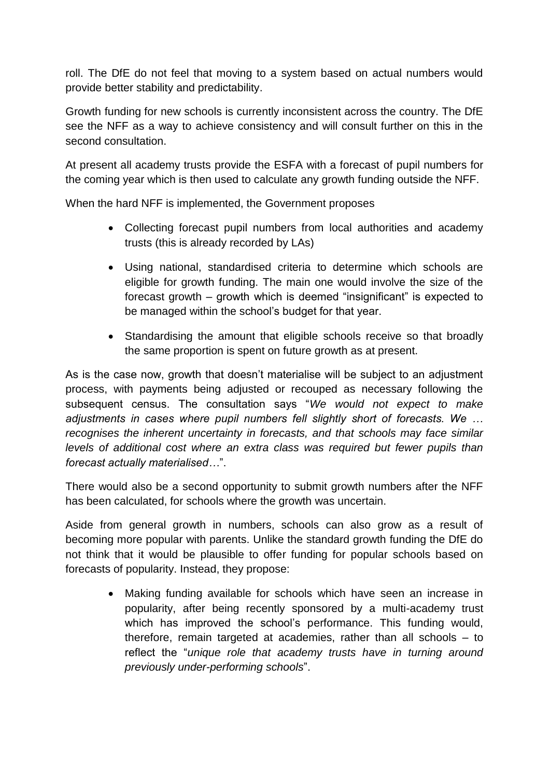roll. The DfE do not feel that moving to a system based on actual numbers would provide better stability and predictability.

Growth funding for new schools is currently inconsistent across the country. The DfE see the NFF as a way to achieve consistency and will consult further on this in the second consultation.

At present all academy trusts provide the ESFA with a forecast of pupil numbers for the coming year which is then used to calculate any growth funding outside the NFF.

When the hard NFF is implemented, the Government proposes

- Collecting forecast pupil numbers from local authorities and academy trusts (this is already recorded by LAs)
- Using national, standardised criteria to determine which schools are eligible for growth funding. The main one would involve the size of the forecast growth – growth which is deemed "insignificant" is expected to be managed within the school's budget for that year.
- Standardising the amount that eligible schools receive so that broadly the same proportion is spent on future growth as at present.

As is the case now, growth that doesn't materialise will be subject to an adjustment process, with payments being adjusted or recouped as necessary following the subsequent census. The consultation says "*We would not expect to make adjustments in cases where pupil numbers fell slightly short of forecasts. We … recognises the inherent uncertainty in forecasts, and that schools may face similar levels of additional cost where an extra class was required but fewer pupils than forecast actually materialised…*".

There would also be a second opportunity to submit growth numbers after the NFF has been calculated, for schools where the growth was uncertain.

Aside from general growth in numbers, schools can also grow as a result of becoming more popular with parents. Unlike the standard growth funding the DfE do not think that it would be plausible to offer funding for popular schools based on forecasts of popularity. Instead, they propose:

> Making funding available for schools which have seen an increase in popularity, after being recently sponsored by a multi-academy trust which has improved the school's performance. This funding would, therefore, remain targeted at academies, rather than all schools – to reflect the "*unique role that academy trusts have in turning around previously under-performing schools*".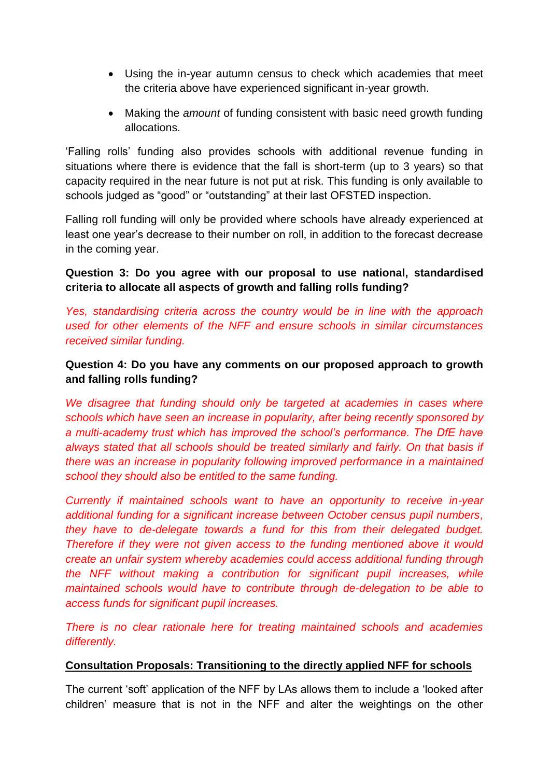- Using the in-year autumn census to check which academies that meet the criteria above have experienced significant in-year growth.
- Making the *amount* of funding consistent with basic need growth funding allocations.

'Falling rolls' funding also provides schools with additional revenue funding in situations where there is evidence that the fall is short-term (up to 3 years) so that capacity required in the near future is not put at risk. This funding is only available to schools judged as "good" or "outstanding" at their last OFSTED inspection.

Falling roll funding will only be provided where schools have already experienced at least one year's decrease to their number on roll, in addition to the forecast decrease in the coming year.

# **Question 3: Do you agree with our proposal to use national, standardised criteria to allocate all aspects of growth and falling rolls funding?**

*Yes, standardising criteria across the country would be in line with the approach used for other elements of the NFF and ensure schools in similar circumstances received similar funding.*

# **Question 4: Do you have any comments on our proposed approach to growth and falling rolls funding?**

We disagree that funding should only be targeted at academies in cases where *schools which have seen an increase in popularity, after being recently sponsored by*  a multi-academy trust which has improved the school's performance. The DfE have *always stated that all schools should be treated similarly and fairly. On that basis if there was an increase in popularity following improved performance in a maintained school they should also be entitled to the same funding.*

*Currently if maintained schools want to have an opportunity to receive in-year additional funding for a significant increase between October census pupil numbers, they have to de-delegate towards a fund for this from their delegated budget. Therefore if they were not given access to the funding mentioned above it would create an unfair system whereby academies could access additional funding through the NFF without making a contribution for significant pupil increases, while maintained schools would have to contribute through de-delegation to be able to access funds for significant pupil increases.*

*There is no clear rationale here for treating maintained schools and academies differently.*

### **Consultation Proposals: Transitioning to the directly applied NFF for schools**

The current 'soft' application of the NFF by LAs allows them to include a 'looked after children' measure that is not in the NFF and alter the weightings on the other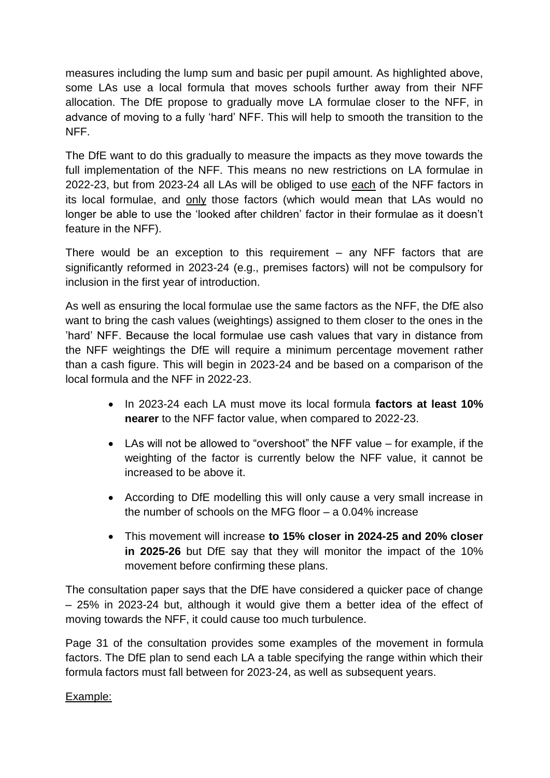measures including the lump sum and basic per pupil amount. As highlighted above, some LAs use a local formula that moves schools further away from their NFF allocation. The DfE propose to gradually move LA formulae closer to the NFF, in advance of moving to a fully 'hard' NFF. This will help to smooth the transition to the NFF.

The DfE want to do this gradually to measure the impacts as they move towards the full implementation of the NFF. This means no new restrictions on LA formulae in 2022-23, but from 2023-24 all LAs will be obliged to use each of the NFF factors in its local formulae, and only those factors (which would mean that LAs would no longer be able to use the 'looked after children' factor in their formulae as it doesn't feature in the NFF).

There would be an exception to this requirement  $-$  any NFF factors that are significantly reformed in 2023-24 (e.g., premises factors) will not be compulsory for inclusion in the first year of introduction.

As well as ensuring the local formulae use the same factors as the NFF, the DfE also want to bring the cash values (weightings) assigned to them closer to the ones in the 'hard' NFF. Because the local formulae use cash values that vary in distance from the NFF weightings the DfE will require a minimum percentage movement rather than a cash figure. This will begin in 2023-24 and be based on a comparison of the local formula and the NFF in 2022-23.

- In 2023-24 each LA must move its local formula **factors at least 10% nearer** to the NFF factor value, when compared to 2022-23.
- LAs will not be allowed to "overshoot" the NFF value for example, if the weighting of the factor is currently below the NFF value, it cannot be increased to be above it.
- According to DfE modelling this will only cause a very small increase in the number of schools on the MFG floor – a 0.04% increase
- This movement will increase **to 15% closer in 2024-25 and 20% closer in 2025-26** but DfE say that they will monitor the impact of the 10% movement before confirming these plans.

The consultation paper says that the DfE have considered a quicker pace of change – 25% in 2023-24 but, although it would give them a better idea of the effect of moving towards the NFF, it could cause too much turbulence.

Page 31 of the consultation provides some examples of the movement in formula factors. The DfE plan to send each LA a table specifying the range within which their formula factors must fall between for 2023-24, as well as subsequent years.

# Example: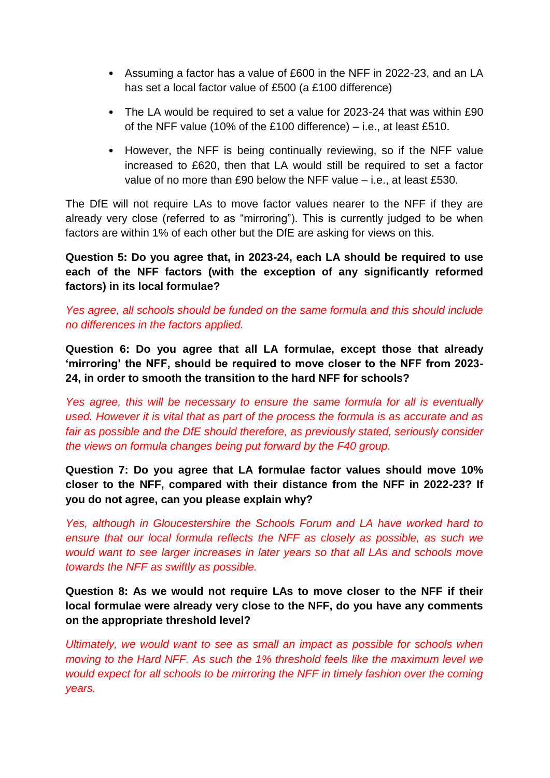- Assuming a factor has a value of £600 in the NFF in 2022-23, and an LA has set a local factor value of £500 (a £100 difference)
- The LA would be required to set a value for 2023-24 that was within £90 of the NFF value (10% of the £100 difference) – i.e., at least £510.
- However, the NFF is being continually reviewing, so if the NFF value increased to £620, then that LA would still be required to set a factor value of no more than £90 below the NFF value – i.e., at least £530.

The DfE will not require LAs to move factor values nearer to the NFF if they are already very close (referred to as "mirroring"). This is currently judged to be when factors are within 1% of each other but the DfE are asking for views on this.

**Question 5: Do you agree that, in 2023-24, each LA should be required to use each of the NFF factors (with the exception of any significantly reformed factors) in its local formulae?** 

*Yes agree, all schools should be funded on the same formula and this should include no differences in the factors applied.*

**Question 6: Do you agree that all LA formulae, except those that already 'mirroring' the NFF, should be required to move closer to the NFF from 2023- 24, in order to smooth the transition to the hard NFF for schools?** 

*Yes agree, this will be necessary to ensure the same formula for all is eventually used. However it is vital that as part of the process the formula is as accurate and as fair as possible and the DfE should therefore, as previously stated, seriously consider the views on formula changes being put forward by the F40 group.*

**Question 7: Do you agree that LA formulae factor values should move 10% closer to the NFF, compared with their distance from the NFF in 2022-23? If you do not agree, can you please explain why?** 

*Yes, although in Gloucestershire the Schools Forum and LA have worked hard to ensure that our local formula reflects the NFF as closely as possible, as such we would want to see larger increases in later years so that all LAs and schools move towards the NFF as swiftly as possible.*

**Question 8: As we would not require LAs to move closer to the NFF if their local formulae were already very close to the NFF, do you have any comments on the appropriate threshold level?**

*Ultimately, we would want to see as small an impact as possible for schools when moving to the Hard NFF. As such the 1% threshold feels like the maximum level we would expect for all schools to be mirroring the NFF in timely fashion over the coming years.*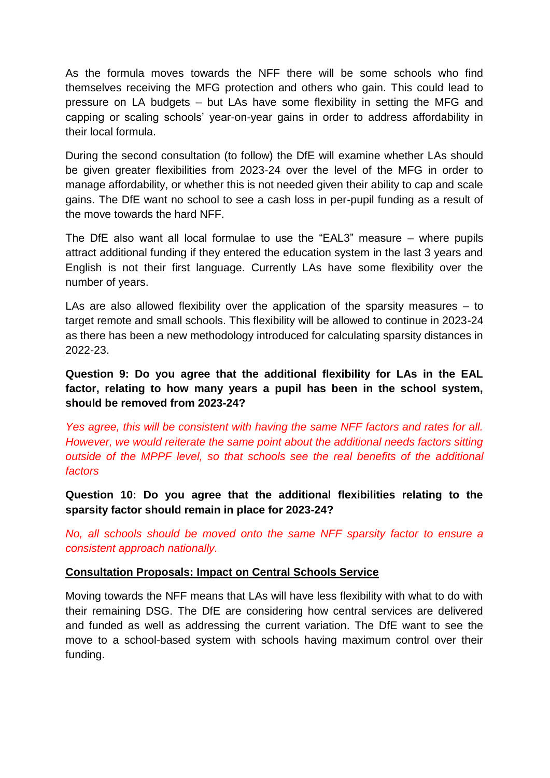As the formula moves towards the NFF there will be some schools who find themselves receiving the MFG protection and others who gain. This could lead to pressure on LA budgets – but LAs have some flexibility in setting the MFG and capping or scaling schools' year-on-year gains in order to address affordability in their local formula.

During the second consultation (to follow) the DfE will examine whether LAs should be given greater flexibilities from 2023-24 over the level of the MFG in order to manage affordability, or whether this is not needed given their ability to cap and scale gains. The DfE want no school to see a cash loss in per-pupil funding as a result of the move towards the hard NFF.

The DfE also want all local formulae to use the "EAL3" measure – where pupils attract additional funding if they entered the education system in the last 3 years and English is not their first language. Currently LAs have some flexibility over the number of years.

LAs are also allowed flexibility over the application of the sparsity measures – to target remote and small schools. This flexibility will be allowed to continue in 2023-24 as there has been a new methodology introduced for calculating sparsity distances in 2022-23.

**Question 9: Do you agree that the additional flexibility for LAs in the EAL factor, relating to how many years a pupil has been in the school system, should be removed from 2023-24?** 

*Yes agree, this will be consistent with having the same NFF factors and rates for all. However, we would reiterate the same point about the additional needs factors sitting outside of the MPPF level, so that schools see the real benefits of the additional factors* 

**Question 10: Do you agree that the additional flexibilities relating to the sparsity factor should remain in place for 2023-24?**

*No, all schools should be moved onto the same NFF sparsity factor to ensure a consistent approach nationally.*

# **Consultation Proposals: Impact on Central Schools Service**

Moving towards the NFF means that LAs will have less flexibility with what to do with their remaining DSG. The DfE are considering how central services are delivered and funded as well as addressing the current variation. The DfE want to see the move to a school-based system with schools having maximum control over their funding.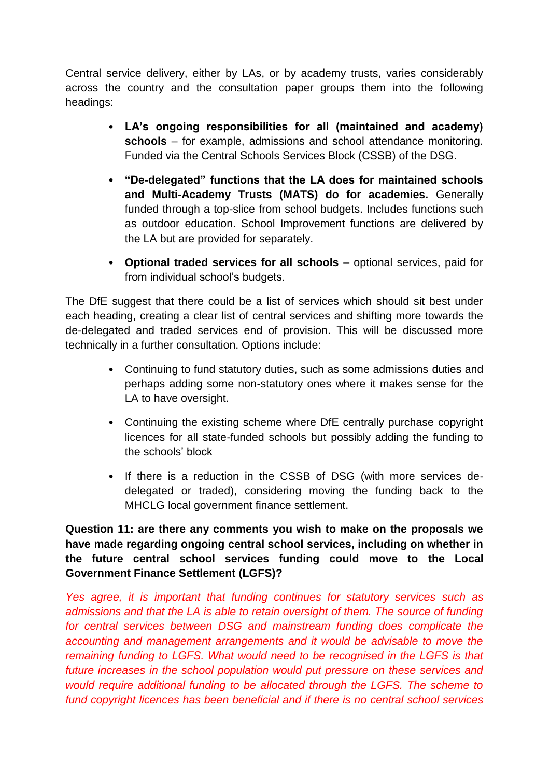Central service delivery, either by LAs, or by academy trusts, varies considerably across the country and the consultation paper groups them into the following headings:

- **LA's ongoing responsibilities for all (maintained and academy) schools** – for example, admissions and school attendance monitoring. Funded via the Central Schools Services Block (CSSB) of the DSG.
- **"De-delegated" functions that the LA does for maintained schools and Multi-Academy Trusts (MATS) do for academies.** Generally funded through a top-slice from school budgets. Includes functions such as outdoor education. School Improvement functions are delivered by the LA but are provided for separately.
- **Optional traded services for all schools –** optional services, paid for from individual school's budgets.

The DfE suggest that there could be a list of services which should sit best under each heading, creating a clear list of central services and shifting more towards the de-delegated and traded services end of provision. This will be discussed more technically in a further consultation. Options include:

- Continuing to fund statutory duties, such as some admissions duties and perhaps adding some non-statutory ones where it makes sense for the LA to have oversight.
- Continuing the existing scheme where DfE centrally purchase copyright licences for all state-funded schools but possibly adding the funding to the schools' block
- If there is a reduction in the CSSB of DSG (with more services dedelegated or traded), considering moving the funding back to the MHCLG local government finance settlement.

**Question 11: are there any comments you wish to make on the proposals we have made regarding ongoing central school services, including on whether in the future central school services funding could move to the Local Government Finance Settlement (LGFS)?**

*Yes agree, it is important that funding continues for statutory services such as admissions and that the LA is able to retain oversight of them. The source of funding for central services between DSG and mainstream funding does complicate the accounting and management arrangements and it would be advisable to move the remaining funding to LGFS. What would need to be recognised in the LGFS is that future increases in the school population would put pressure on these services and would require additional funding to be allocated through the LGFS. The scheme to fund copyright licences has been beneficial and if there is no central school services*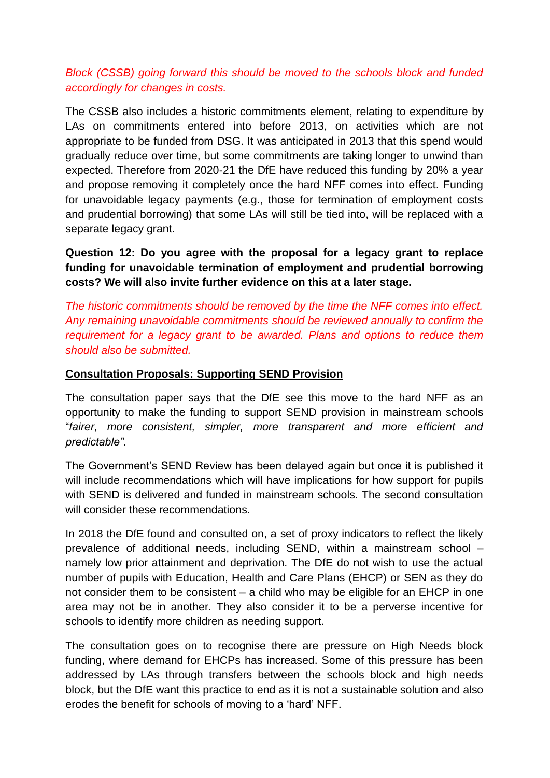# *Block (CSSB) going forward this should be moved to the schools block and funded accordingly for changes in costs.*

The CSSB also includes a historic commitments element, relating to expenditure by LAs on commitments entered into before 2013, on activities which are not appropriate to be funded from DSG. It was anticipated in 2013 that this spend would gradually reduce over time, but some commitments are taking longer to unwind than expected. Therefore from 2020-21 the DfE have reduced this funding by 20% a year and propose removing it completely once the hard NFF comes into effect. Funding for unavoidable legacy payments (e.g., those for termination of employment costs and prudential borrowing) that some LAs will still be tied into, will be replaced with a separate legacy grant.

**Question 12: Do you agree with the proposal for a legacy grant to replace funding for unavoidable termination of employment and prudential borrowing costs? We will also invite further evidence on this at a later stage.**

*The historic commitments should be removed by the time the NFF comes into effect. Any remaining unavoidable commitments should be reviewed annually to confirm the requirement for a legacy grant to be awarded. Plans and options to reduce them should also be submitted.*

### **Consultation Proposals: Supporting SEND Provision**

The consultation paper says that the DfE see this move to the hard NFF as an opportunity to make the funding to support SEND provision in mainstream schools "*fairer, more consistent, simpler, more transparent and more efficient and predictable".*

The Government's SEND Review has been delayed again but once it is published it will include recommendations which will have implications for how support for pupils with SEND is delivered and funded in mainstream schools. The second consultation will consider these recommendations.

In 2018 the DfE found and consulted on, a set of proxy indicators to reflect the likely prevalence of additional needs, including SEND, within a mainstream school – namely low prior attainment and deprivation. The DfE do not wish to use the actual number of pupils with Education, Health and Care Plans (EHCP) or SEN as they do not consider them to be consistent – a child who may be eligible for an EHCP in one area may not be in another. They also consider it to be a perverse incentive for schools to identify more children as needing support.

The consultation goes on to recognise there are pressure on High Needs block funding, where demand for EHCPs has increased. Some of this pressure has been addressed by LAs through transfers between the schools block and high needs block, but the DfE want this practice to end as it is not a sustainable solution and also erodes the benefit for schools of moving to a 'hard' NFF.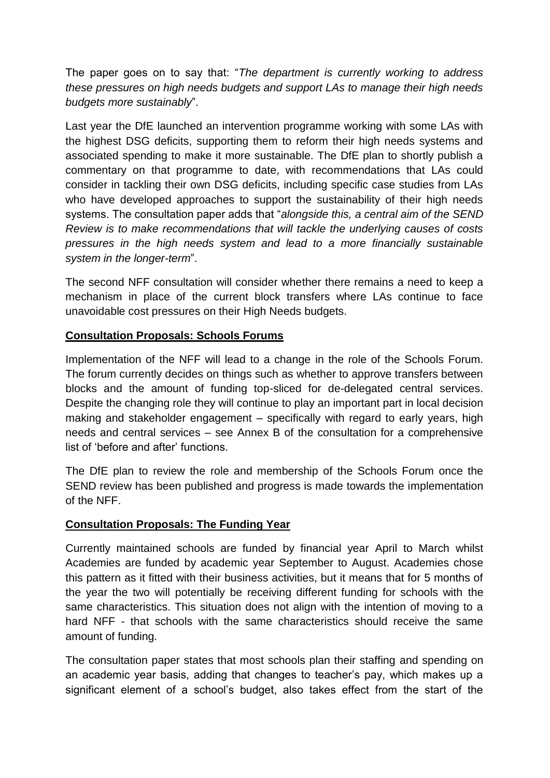The paper goes on to say that: "*The department is currently working to address these pressures on high needs budgets and support LAs to manage their high needs budgets more sustainably*".

Last year the DfE launched an intervention programme working with some LAs with the highest DSG deficits, supporting them to reform their high needs systems and associated spending to make it more sustainable. The DfE plan to shortly publish a commentary on that programme to date, with recommendations that LAs could consider in tackling their own DSG deficits, including specific case studies from LAs who have developed approaches to support the sustainability of their high needs systems. The consultation paper adds that "*alongside this, a central aim of the SEND Review is to make recommendations that will tackle the underlying causes of costs pressures in the high needs system and lead to a more financially sustainable system in the longer-term*".

The second NFF consultation will consider whether there remains a need to keep a mechanism in place of the current block transfers where LAs continue to face unavoidable cost pressures on their High Needs budgets.

# **Consultation Proposals: Schools Forums**

Implementation of the NFF will lead to a change in the role of the Schools Forum. The forum currently decides on things such as whether to approve transfers between blocks and the amount of funding top-sliced for de-delegated central services. Despite the changing role they will continue to play an important part in local decision making and stakeholder engagement – specifically with regard to early years, high needs and central services – see Annex B of the consultation for a comprehensive list of 'before and after' functions.

The DfE plan to review the role and membership of the Schools Forum once the SEND review has been published and progress is made towards the implementation of the NFF.

### **Consultation Proposals: The Funding Year**

Currently maintained schools are funded by financial year April to March whilst Academies are funded by academic year September to August. Academies chose this pattern as it fitted with their business activities, but it means that for 5 months of the year the two will potentially be receiving different funding for schools with the same characteristics. This situation does not align with the intention of moving to a hard NFF - that schools with the same characteristics should receive the same amount of funding.

The consultation paper states that most schools plan their staffing and spending on an academic year basis, adding that changes to teacher's pay, which makes up a significant element of a school's budget, also takes effect from the start of the